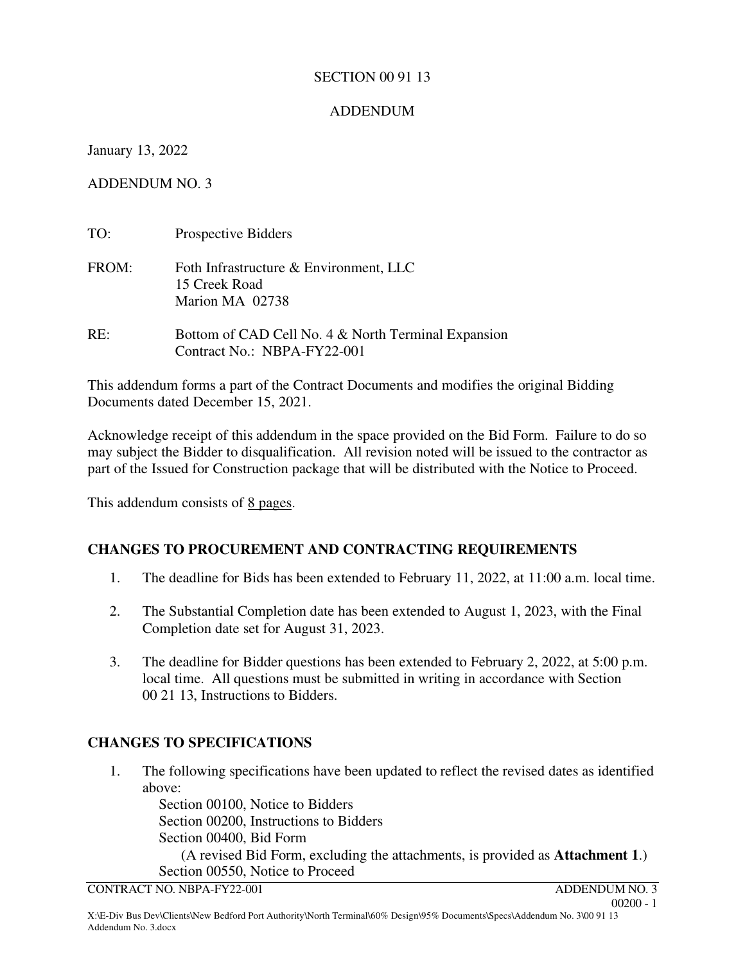## SECTION 00 91 13

# ADDENDUM

January 13, 2022

ADDENDUM NO. 3

| TO:   | Prospective Bidders                                                                |
|-------|------------------------------------------------------------------------------------|
| FROM: | Foth Infrastructure & Environment, LLC<br>15 Creek Road<br>Marion MA 02738         |
| RE:   | Bottom of CAD Cell No. 4 & North Terminal Expansion<br>Contract No.: NBPA-FY22-001 |

This addendum forms a part of the Contract Documents and modifies the original Bidding Documents dated December 15, 2021.

Acknowledge receipt of this addendum in the space provided on the Bid Form. Failure to do so may subject the Bidder to disqualification. All revision noted will be issued to the contractor as part of the Issued for Construction package that will be distributed with the Notice to Proceed.

This addendum consists of 8 pages.

# **CHANGES TO PROCUREMENT AND CONTRACTING REQUIREMENTS**

- 1. The deadline for Bids has been extended to February 11, 2022, at 11:00 a.m. local time.
- 2. The Substantial Completion date has been extended to August 1, 2023, with the Final Completion date set for August 31, 2023.
- 3. The deadline for Bidder questions has been extended to February 2, 2022, at 5:00 p.m. local time. All questions must be submitted in writing in accordance with Section 00 21 13, Instructions to Bidders.

# **CHANGES TO SPECIFICATIONS**

1. The following specifications have been updated to reflect the revised dates as identified above:

Section 00100, Notice to Bidders Section 00200, Instructions to Bidders Section 00400, Bid Form

 (A revised Bid Form, excluding the attachments, is provided as **Attachment 1**.) Section 00550, Notice to Proceed

CONTRACT NO. NBPA-FY22-001 ADDENDUM NO. 3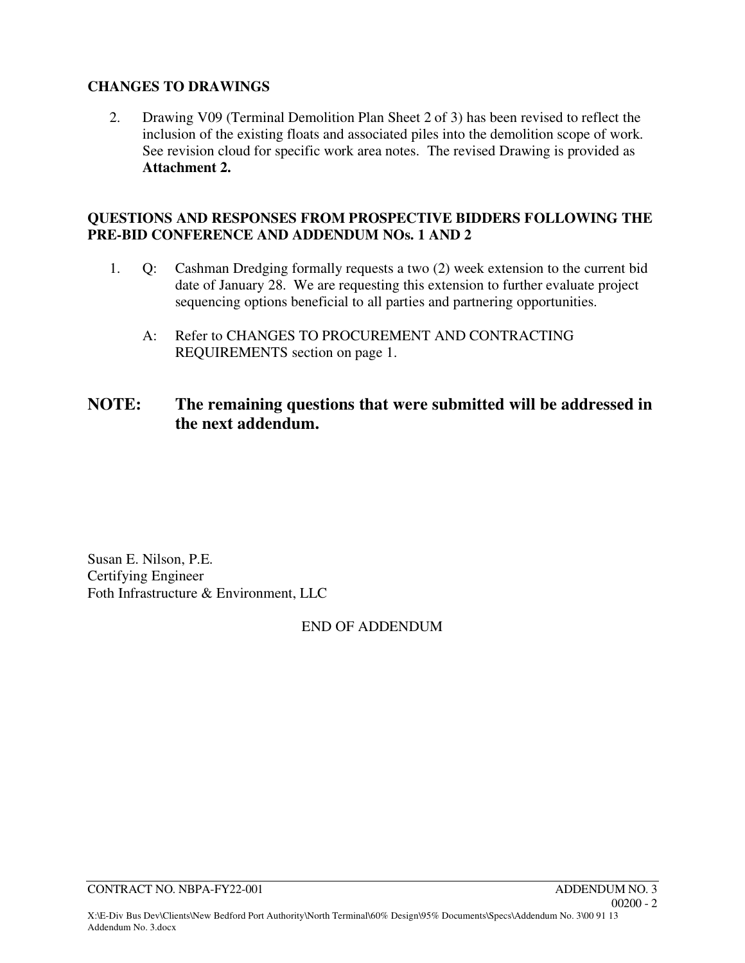# **CHANGES TO DRAWINGS**

2. Drawing V09 (Terminal Demolition Plan Sheet 2 of 3) has been revised to reflect the inclusion of the existing floats and associated piles into the demolition scope of work. See revision cloud for specific work area notes. The revised Drawing is provided as **Attachment 2.**

## **QUESTIONS AND RESPONSES FROM PROSPECTIVE BIDDERS FOLLOWING THE PRE-BID CONFERENCE AND ADDENDUM NOs. 1 AND 2**

- 1. Q: Cashman Dredging formally requests a two (2) week extension to the current bid date of January 28. We are requesting this extension to further evaluate project sequencing options beneficial to all parties and partnering opportunities.
	- A: Refer to CHANGES TO PROCUREMENT AND CONTRACTING REQUIREMENTS section on page 1.

# **NOTE: The remaining questions that were submitted will be addressed in the next addendum.**

Susan E. Nilson, P.E. Certifying Engineer Foth Infrastructure & Environment, LLC

# END OF ADDENDUM

CONTRACT NO. NBPA-FY22-001 ADDENDUM NO. 3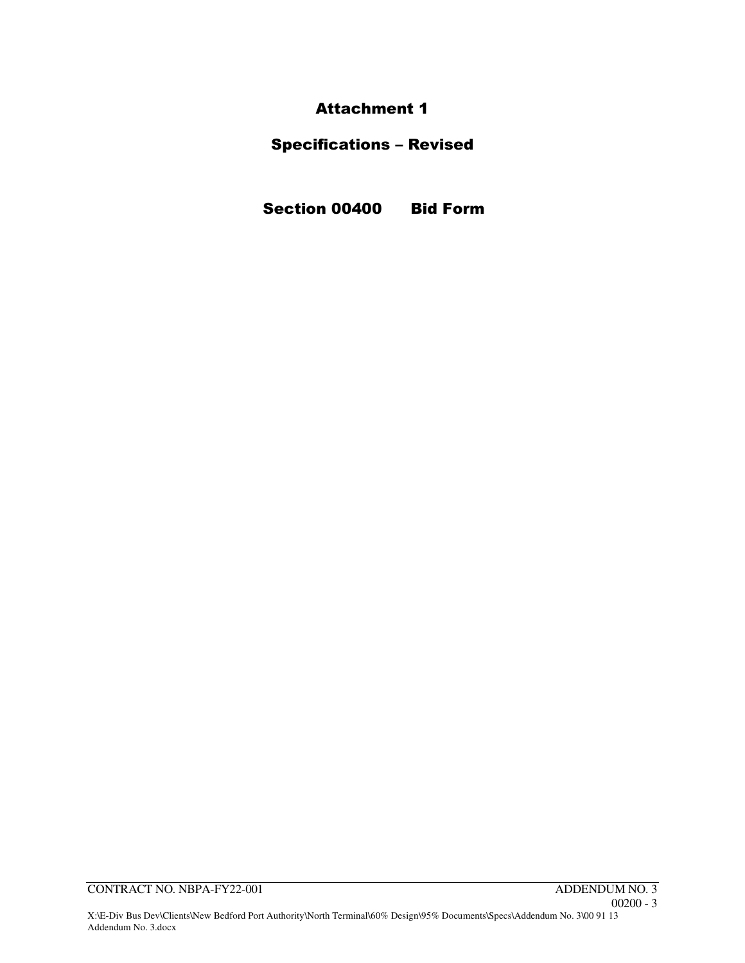Attachment 1

# Specifications – Revised

Section 00400 Bid Form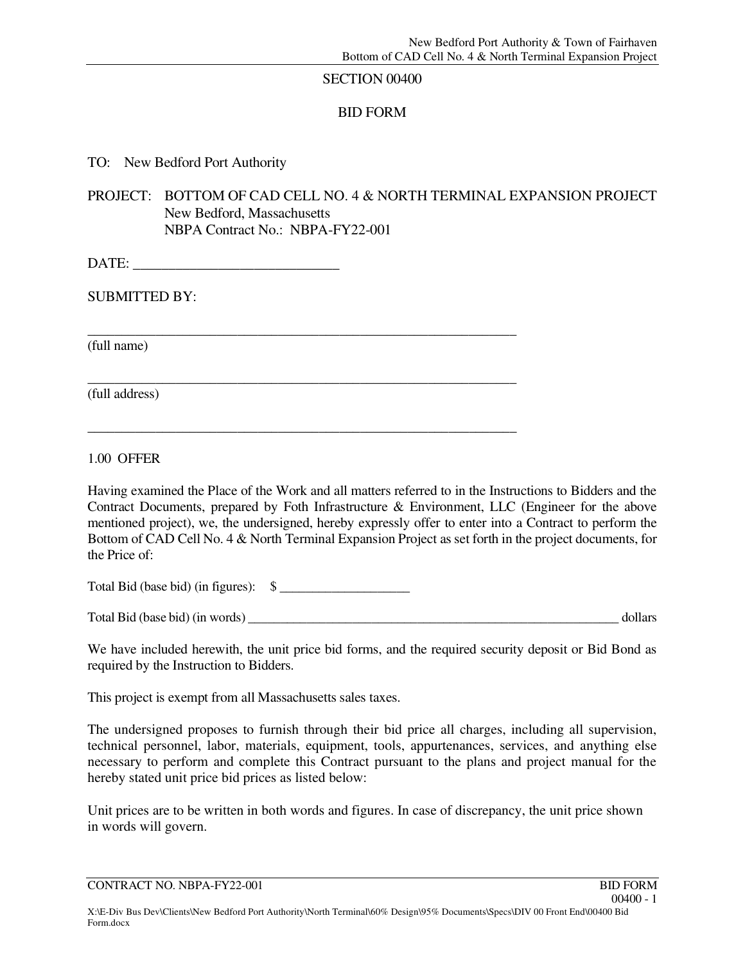#### SECTION 00400

## BID FORM

TO: New Bedford Port Authority

PROJECT: BOTTOM OF CAD CELL NO. 4 & NORTH TERMINAL EXPANSION PROJECT New Bedford, Massachusetts NBPA Contract No.: NBPA-FY22-001

\_\_\_\_\_\_\_\_\_\_\_\_\_\_\_\_\_\_\_\_\_\_\_\_\_\_\_\_\_\_\_\_\_\_\_\_\_\_\_\_\_\_\_\_\_\_\_\_\_\_\_\_\_\_\_\_\_\_\_\_\_\_\_

\_\_\_\_\_\_\_\_\_\_\_\_\_\_\_\_\_\_\_\_\_\_\_\_\_\_\_\_\_\_\_\_\_\_\_\_\_\_\_\_\_\_\_\_\_\_\_\_\_\_\_\_\_\_\_\_\_\_\_\_\_\_\_

\_\_\_\_\_\_\_\_\_\_\_\_\_\_\_\_\_\_\_\_\_\_\_\_\_\_\_\_\_\_\_\_\_\_\_\_\_\_\_\_\_\_\_\_\_\_\_\_\_\_\_\_\_\_\_\_\_\_\_\_\_\_\_

DATE: \_\_\_\_\_\_\_\_\_\_\_\_\_\_\_\_\_\_\_\_\_\_\_\_\_\_\_\_\_

SUBMITTED BY:

(full name)

(full address)

1.00 OFFER

Having examined the Place of the Work and all matters referred to in the Instructions to Bidders and the Contract Documents, prepared by Foth Infrastructure & Environment, LLC (Engineer for the above mentioned project), we, the undersigned, hereby expressly offer to enter into a Contract to perform the Bottom of CAD Cell No. 4 & North Terminal Expansion Project as set forth in the project documents, for the Price of:

Total Bid (base bid) (in figures):  $\quad \quad$  \[ \]

Total Bid (base bid) (in words) \_\_\_\_\_\_\_\_\_\_\_\_\_\_\_\_\_\_\_\_\_\_\_\_\_\_\_\_\_\_\_\_\_\_\_\_\_\_\_\_\_\_\_\_\_\_\_\_\_\_\_\_\_\_\_\_\_ dollars

We have included herewith, the unit price bid forms, and the required security deposit or Bid Bond as required by the Instruction to Bidders.

This project is exempt from all Massachusetts sales taxes.

The undersigned proposes to furnish through their bid price all charges, including all supervision, technical personnel, labor, materials, equipment, tools, appurtenances, services, and anything else necessary to perform and complete this Contract pursuant to the plans and project manual for the hereby stated unit price bid prices as listed below:

Unit prices are to be written in both words and figures. In case of discrepancy, the unit price shown in words will govern.

CONTRACT NO. NBPA-FY22-001 BID FORM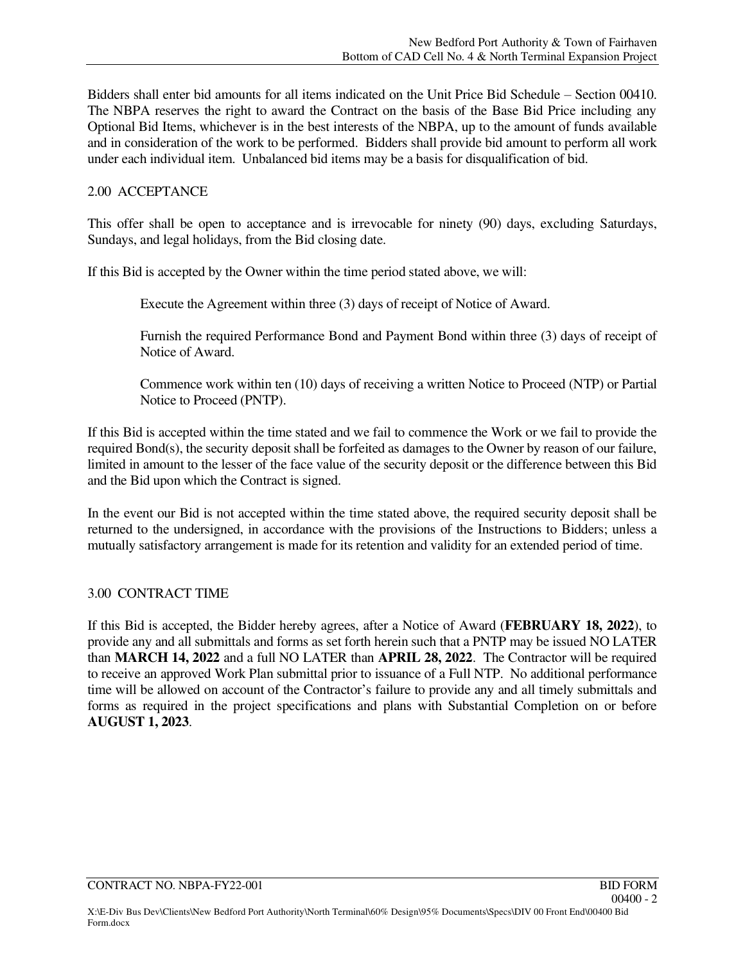Bidders shall enter bid amounts for all items indicated on the Unit Price Bid Schedule – Section 00410. The NBPA reserves the right to award the Contract on the basis of the Base Bid Price including any Optional Bid Items, whichever is in the best interests of the NBPA, up to the amount of funds available and in consideration of the work to be performed. Bidders shall provide bid amount to perform all work under each individual item. Unbalanced bid items may be a basis for disqualification of bid.

## 2.00 ACCEPTANCE

This offer shall be open to acceptance and is irrevocable for ninety (90) days, excluding Saturdays, Sundays, and legal holidays, from the Bid closing date.

If this Bid is accepted by the Owner within the time period stated above, we will:

Execute the Agreement within three (3) days of receipt of Notice of Award.

 Furnish the required Performance Bond and Payment Bond within three (3) days of receipt of Notice of Award.

 Commence work within ten (10) days of receiving a written Notice to Proceed (NTP) or Partial Notice to Proceed (PNTP).

If this Bid is accepted within the time stated and we fail to commence the Work or we fail to provide the required Bond(s), the security deposit shall be forfeited as damages to the Owner by reason of our failure, limited in amount to the lesser of the face value of the security deposit or the difference between this Bid and the Bid upon which the Contract is signed.

In the event our Bid is not accepted within the time stated above, the required security deposit shall be returned to the undersigned, in accordance with the provisions of the Instructions to Bidders; unless a mutually satisfactory arrangement is made for its retention and validity for an extended period of time.

### 3.00 CONTRACT TIME

If this Bid is accepted, the Bidder hereby agrees, after a Notice of Award (**FEBRUARY 18, 2022**), to provide any and all submittals and forms as set forth herein such that a PNTP may be issued NO LATER than **MARCH 14, 2022** and a full NO LATER than **APRIL 28, 2022**. The Contractor will be required to receive an approved Work Plan submittal prior to issuance of a Full NTP. No additional performance time will be allowed on account of the Contractor's failure to provide any and all timely submittals and forms as required in the project specifications and plans with Substantial Completion on or before **AUGUST 1, 2023**.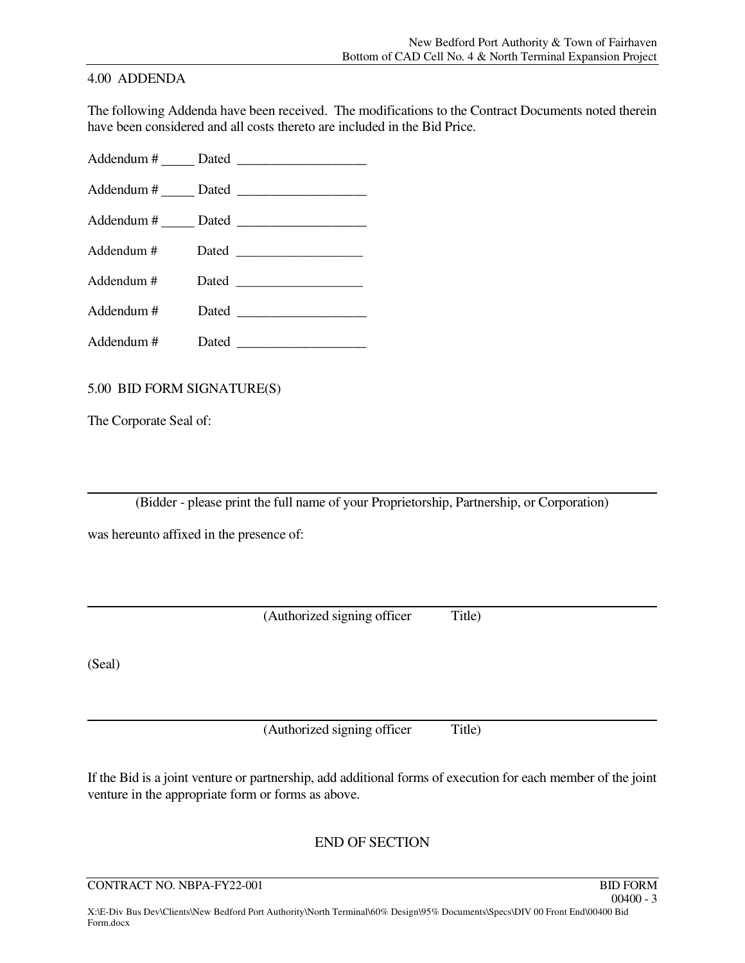#### 4.00 ADDENDA

The following Addenda have been received. The modifications to the Contract Documents noted therein have been considered and all costs thereto are included in the Bid Price.

Addendum # \_\_\_\_\_\_ Dated

Addendum # Dated \_\_\_\_\_\_\_\_\_\_\_\_\_\_\_\_\_\_\_

Addendum # Dated \_\_\_\_\_\_\_\_\_\_\_\_\_\_\_\_\_\_\_

Addendum # Dated \_\_\_\_\_\_\_\_\_\_\_\_\_\_\_\_\_\_\_

Addendum # Dated \_\_\_\_\_\_\_\_\_\_\_\_\_\_\_\_\_\_\_ Addendum # Dated \_\_\_\_\_\_\_\_\_\_\_\_\_\_\_\_\_\_\_

Addendum # Dated \_\_\_\_\_\_\_\_\_\_\_\_\_\_\_\_\_\_\_

5.00 BID FORM SIGNATURE(S)

The Corporate Seal of:

(Bidder - please print the full name of your Proprietorship, Partnership, or Corporation)

was hereunto affixed in the presence of:

(Authorized signing officer Title)

(Seal)

(Authorized signing officer Title)

If the Bid is a joint venture or partnership, add additional forms of execution for each member of the joint venture in the appropriate form or forms as above.

END OF SECTION

CONTRACT NO. NBPA-FY22-001 BID FORM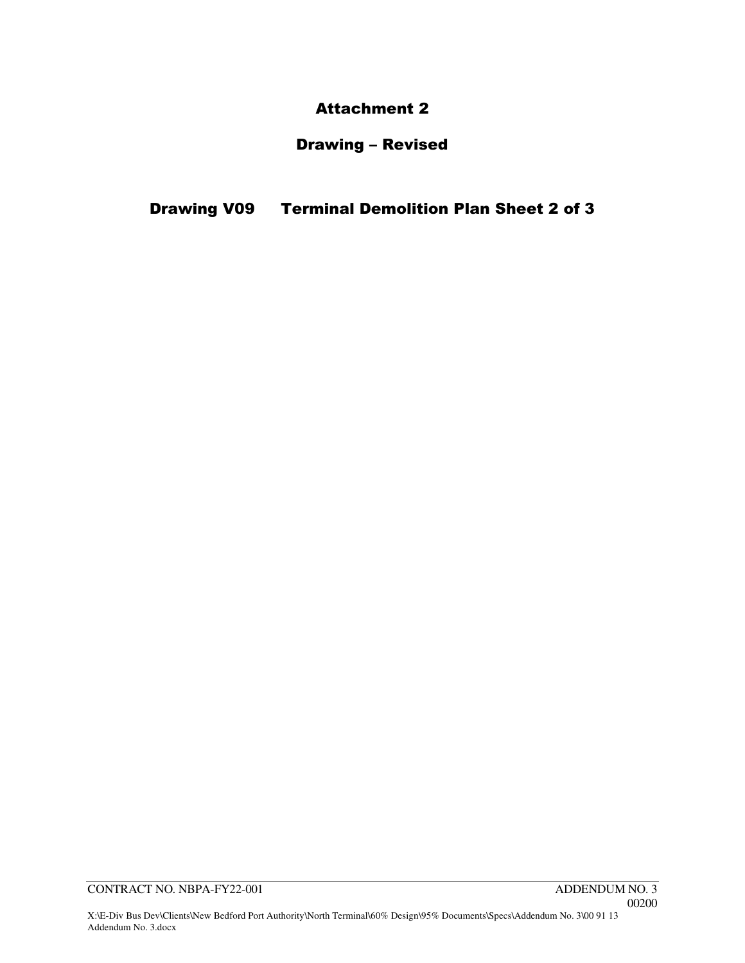# Attachment 2

# Drawing – Revised

Drawing V09 Terminal Demolition Plan Sheet 2 of 3